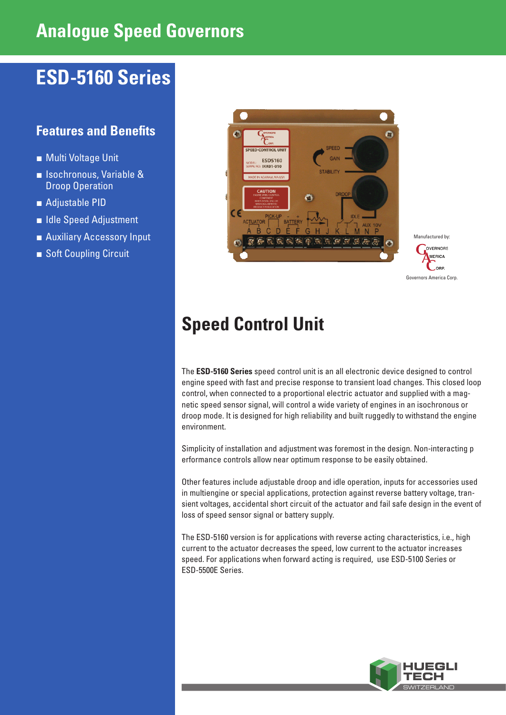# **Analogue Speed Governors**

# **ESD-5160 Series**

## **Features and Benefits**

- Multi Voltage Unit
- **■** Isochronous, Variable & Droop Operation
- Adjustable PID
- Idle Speed Adjustment
- Auxiliary Accessory Input
- Soft Coupling Circuit



OVERNORS **MERICA** OBP. Governors America Corp.

Manufactured by:

# **Speed Control Unit**

The **ESD-5160 Series** speed control unit is an all electronic device designed to control engine speed with fast and precise response to transient load changes. This closed loop control, when connected to a proportional electric actuator and supplied with a magnetic speed sensor signal, will control a wide variety of engines in an isochronous or droop mode. It is designed for high reliability and built ruggedly to withstand the engine environment.

Simplicity of installation and adjustment was foremost in the design. Non-interacting p erformance controls allow near optimum response to be easily obtained.

Other features include adjustable droop and idle operation, inputs for accessories used in multiengine or special applications, protection against reverse battery voltage, transient voltages, accidental short circuit of the actuator and fail safe design in the event of loss of speed sensor signal or battery supply.

The ESD-5160 version is for applications with reverse acting characteristics, i.e., high current to the actuator decreases the speed, low current to the actuator increases speed. For applications when forward acting is required, use ESD-5100 Series or ESD-5500E Series.

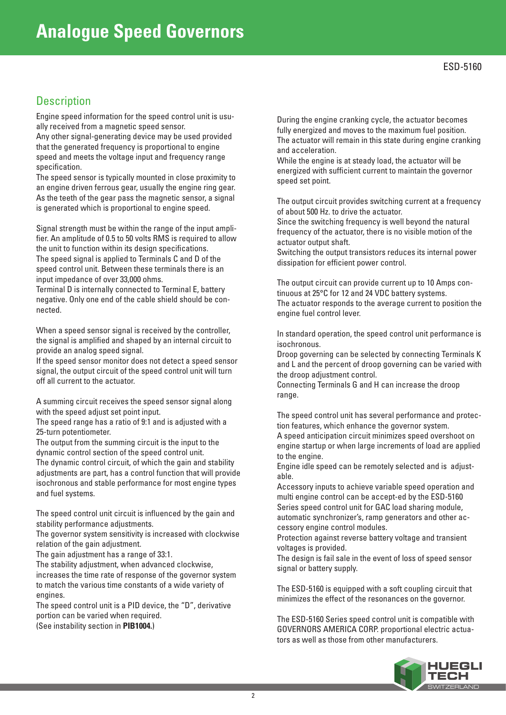### **Description**

Engine speed information for the speed control unit is usually received from a magnetic speed sensor.

Any other signal-generating device may be used provided that the generated frequency is proportional to engine speed and meets the voltage input and frequency range specification.

The speed sensor is typically mounted in close proximity to an engine driven ferrous gear, usually the engine ring gear. As the teeth of the gear pass the magnetic sensor, a signal is generated which is proportional to engine speed.

Signal strength must be within the range of the input amplifier. An amplitude of 0.5 to 50 volts RMS is required to allow the unit to function within its design specifications. The speed signal is applied to Terminals C and D of the speed control unit. Between these terminals there is an input impedance of over 33,000 ohms.

Terminal D is internally connected to Terminal E, battery negative. Only one end of the cable shield should be connected.

When a speed sensor signal is received by the controller, the signal is amplified and shaped by an internal circuit to provide an analog speed signal.

If the speed sensor monitor does not detect a speed sensor signal, the output circuit of the speed control unit will turn off all current to the actuator.

A summing circuit receives the speed sensor signal along with the speed adjust set point input.

The speed range has a ratio of 9:1 and is adjusted with a 25-turn potentiometer.

The output from the summing circuit is the input to the dynamic control section of the speed control unit. The dynamic control circuit, of which the gain and stability adjustments are part, has a control function that will provide isochronous and stable performance for most engine types and fuel systems.

The speed control unit circuit is influenced by the gain and stability performance adjustments.

The governor system sensitivity is increased with clockwise relation of the gain adjustment.

The gain adjustment has a range of 33:1.

The stability adjustment, when advanced clockwise, increases the time rate of response of the governor system to match the various time constants of a wide variety of engines.

The speed control unit is a PID device, the "D", derivative portion can be varied when required. (See instability section in **PIB1004.**)

During the engine cranking cycle, the actuator becomes fully energized and moves to the maximum fuel position. The actuator will remain in this state during engine cranking and acceleration.

While the engine is at steady load, the actuator will be energized with sufficient current to maintain the governor speed set point.

The output circuit provides switching current at a frequency of about 500 Hz. to drive the actuator.

Since the switching frequency is well beyond the natural frequency of the actuator, there is no visible motion of the actuator output shaft.

Switching the output transistors reduces its internal power dissipation for efficient power control.

The output circuit can provide current up to 10 Amps continuous at 25°C for 12 and 24 VDC battery systems. The actuator responds to the average current to position the engine fuel control lever.

In standard operation, the speed control unit performance is isochronous.

Droop governing can be selected by connecting Terminals K and L and the percent of droop governing can be varied with the droop adjustment control.

Connecting Terminals G and H can increase the droop range.

The speed control unit has several performance and protection features, which enhance the governor system.

A speed anticipation circuit minimizes speed overshoot on engine startup or when large increments of load are applied to the engine.

Engine idle speed can be remotely selected and is adjustable.

Accessory inputs to achieve variable speed operation and multi engine control can be accept-ed by the ESD-5160 Series speed control unit for GAC load sharing module, automatic synchronizer's, ramp generators and other accessory engine control modules.

Protection against reverse battery voltage and transient voltages is provided.

The design is fail sale in the event of loss of speed sensor signal or battery supply.

The ESD-5160 is equipped with a soft coupling circuit that minimizes the effect of the resonances on the governor.

The ESD-5160 Series speed control unit is compatible with GOVERNORS AMERICA CORP. proportional electric actuators as well as those from other manufacturers.

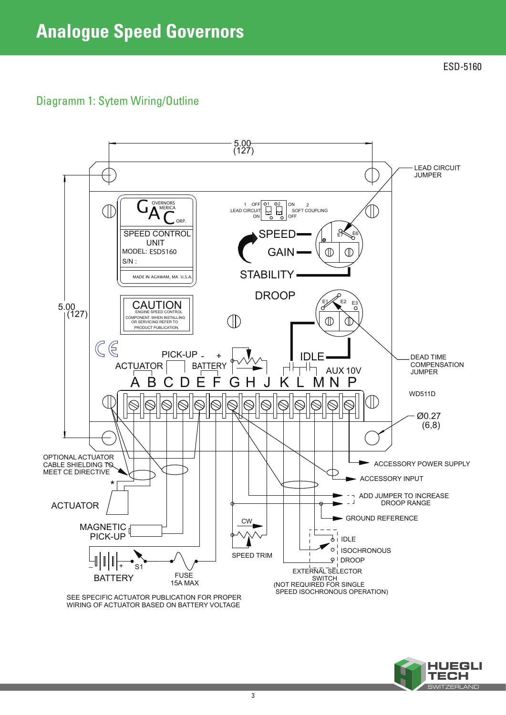ESD-5160

## Diagramm 1: Sytem Wiring/Outline